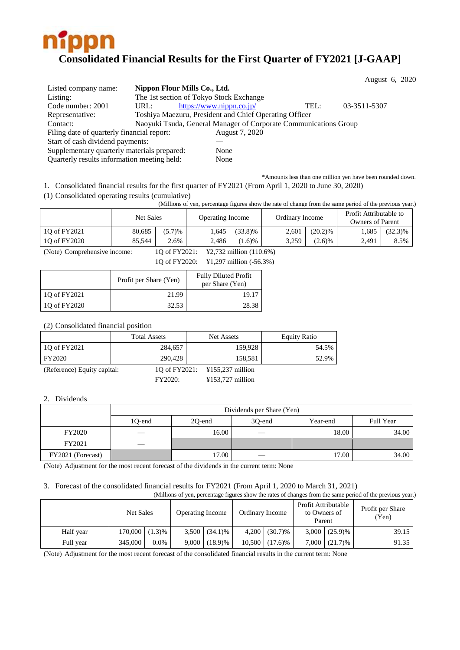

|                                             |      |                                         |                                                                  |      | August 6, 2020 |
|---------------------------------------------|------|-----------------------------------------|------------------------------------------------------------------|------|----------------|
| Listed company name:                        |      | Nippon Flour Mills Co., Ltd.            |                                                                  |      |                |
| Listing:                                    |      | The 1st section of Tokyo Stock Exchange |                                                                  |      |                |
| Code number: 2001                           | URL: | https://www.nippn.co.jp/                |                                                                  | TEL: | 03-3511-5307   |
| Representative:                             |      |                                         | Toshiya Maezuru, President and Chief Operating Officer           |      |                |
| Contact:                                    |      |                                         | Naoyuki Tsuda, General Manager of Corporate Communications Group |      |                |
| Filing date of quarterly financial report:  |      |                                         | August 7, 2020                                                   |      |                |
| Start of cash dividend payments:            |      |                                         |                                                                  |      |                |
| Supplementary quarterly materials prepared: |      |                                         | None                                                             |      |                |
| Quarterly results information meeting held: |      |                                         | None                                                             |      |                |

\*Amounts less than one million yen have been rounded down. 1. Consolidated financial results for the first quarter of FY2021 (From April 1, 2020 to June 30, 2020)

(1) Consolidated operating results (cumulative)

(Millions of yen, percentage figures show the rate of change from the same period of the previous year.)

|              | Net Sales |               | <b>Operating Income</b> |            | Ordinary Income |            | Profit Attributable to<br><b>Owners of Parent</b> |            |
|--------------|-----------|---------------|-------------------------|------------|-----------------|------------|---------------------------------------------------|------------|
| 10 of FY2021 | 80.685    | (5.7)%        | .645                    | $(33.8)\%$ | 2.601           | $(20.2)\%$ | .685                                              | $(32.3)\%$ |
| 10 of FY2020 | 85.544    | $\angle .6\%$ | 2.486                   | 1.6)%      | 3.259           | $(2.6)$ %  | 2.491                                             | 8.5%       |

(Note) Comprehensive income: 1Q of FY2021: ¥2,732 million (110.6%)

| 1Q of FY2020: | ¥1,297 million $(-56.3\%)$ |
|---------------|----------------------------|
|---------------|----------------------------|

|              | Profit per Share (Yen) | <b>Fully Diluted Profit</b><br>per Share (Yen) |
|--------------|------------------------|------------------------------------------------|
| 10 of FY2021 | 21.99                  | 19.17                                          |
| 1Q of FY2020 | 32.53                  | 28.38                                          |

(2) Consolidated financial position

|                             | <b>Total Assets</b> | Net Assets                            | <b>Equity Ratio</b> |
|-----------------------------|---------------------|---------------------------------------|---------------------|
| 10 of FY2021                | 284,657             | 159,928                               | 54.5%               |
| FY2020                      | 290,428             | 158.581                               | 52.9%               |
| (Reference) Equity capital: | 10 of FY2021:       | $\text{\textsterling}155,237$ million |                     |
|                             | FY2020:             | $\text{\#}153,727$ million            |                     |

#### 2. Dividends

|                   | Dividends per Share (Yen) |        |                          |          |           |  |  |  |
|-------------------|---------------------------|--------|--------------------------|----------|-----------|--|--|--|
|                   | 1Q-end                    | 2Q-end | 30-end                   | Year-end | Full Year |  |  |  |
| FY2020            |                           | 16.00  | $\overline{\phantom{a}}$ | 18.00    | 34.00     |  |  |  |
| FY2021            | $\overline{\phantom{a}}$  |        |                          |          |           |  |  |  |
| FY2021 (Forecast) |                           | 17.00  | $\sim$                   | 17.00    | 34.00     |  |  |  |

(Note) Adjustment for the most recent forecast of the dividends in the current term: None

# 3. Forecast of the consolidated financial results for FY2021 (From April 1, 2020 to March 31, 2021)

|           |           |        |                         |                    |                 |            |                                               |                    | (Millions of yen, percentage figures show the rates of changes from the same period of the previous year.) |
|-----------|-----------|--------|-------------------------|--------------------|-----------------|------------|-----------------------------------------------|--------------------|------------------------------------------------------------------------------------------------------------|
|           | Net Sales |        | <b>Operating Income</b> |                    | Ordinary Income |            | Profit Attributable<br>to Owners of<br>Parent |                    | Profit per Share<br>(Yen)                                                                                  |
| Half year | 170,000   | (1.3)% |                         | $3,500$ $(34.1)\%$ | 4.200           | $(30.7)\%$ |                                               | $3,000$ $(25.9)\%$ | 39.15                                                                                                      |

Full year 345,000 0.0% 9,000 (18.9)% 10,500 (17.6)% 7,000 (21.7)% 91.35

(Note) Adjustment for the most recent forecast of the consolidated financial results in the current term: None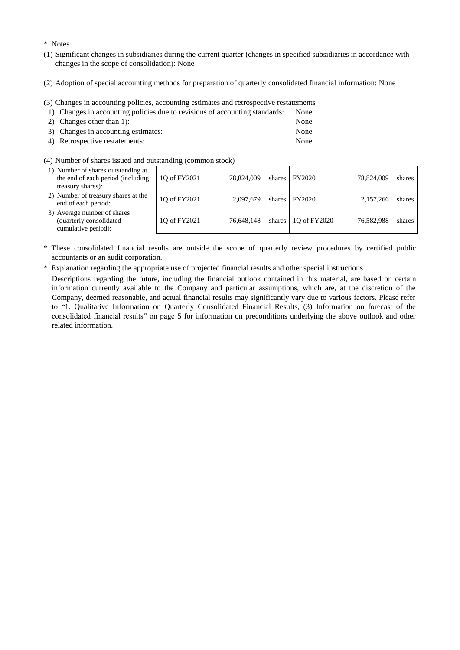\* Notes

- (1) Significant changes in subsidiaries during the current quarter (changes in specified subsidiaries in accordance with changes in the scope of consolidation): None
- (2) Adoption of special accounting methods for preparation of quarterly consolidated financial information: None
- (3) Changes in accounting policies, accounting estimates and retrospective restatements
- 1) Changes in accounting policies due to revisions of accounting standards: None

| 2) Changes other than 1):           | <b>None</b> |
|-------------------------------------|-------------|
| 3) Changes in accounting estimates: | None        |

- 4) Retrospective restatements: None
- (4) Number of shares issued and outstanding (common stock)
	- 1) Number of shares outstanding at the end of each period (including treasury shares):
	- 2) Number of treasury shares at the end of each period:
	- 3) Average number of shares (quarterly consolidated cumulative period):

| ıg | 10 of FY2021 | 78,824,009 |        | shares $ $ FY2020           | 78,824,009 | shares |
|----|--------------|------------|--------|-----------------------------|------------|--------|
| e  | 10 of FY2021 | 2,097,679  | shares | <b>FY2020</b>               | 2,157,266  | shares |
|    | 10 of FY2021 | 76,648,148 |        | shares $\vert$ 10 of FY2020 | 76,582,988 | shares |
|    |              |            |        |                             |            |        |

- \* These consolidated financial results are outside the scope of quarterly review procedures by certified public accountants or an audit corporation.
- \* Explanation regarding the appropriate use of projected financial results and other special instructions

Descriptions regarding the future, including the financial outlook contained in this material, are based on certain information currently available to the Company and particular assumptions, which are, at the discretion of the Company, deemed reasonable, and actual financial results may significantly vary due to various factors. Please refer to "1. Qualitative Information on Quarterly Consolidated Financial Results, (3) Information on forecast of the consolidated financial results" on page 5 for information on preconditions underlying the above outlook and other related information.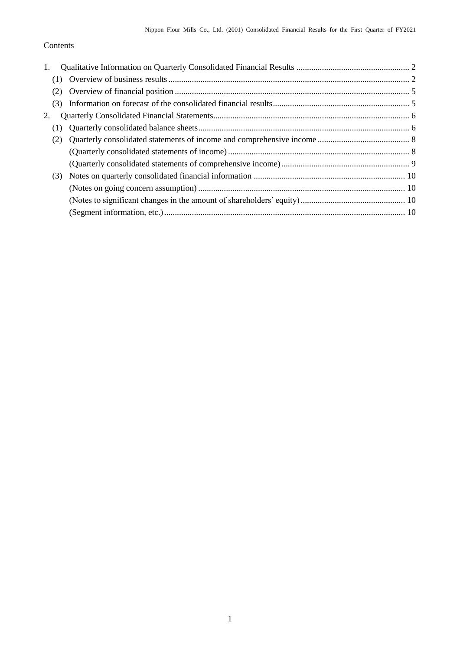### Contents

| 1.  |  |
|-----|--|
|     |  |
| (2) |  |
| (3) |  |
| 2.  |  |
|     |  |
|     |  |
|     |  |
|     |  |
| (3) |  |
|     |  |
|     |  |
|     |  |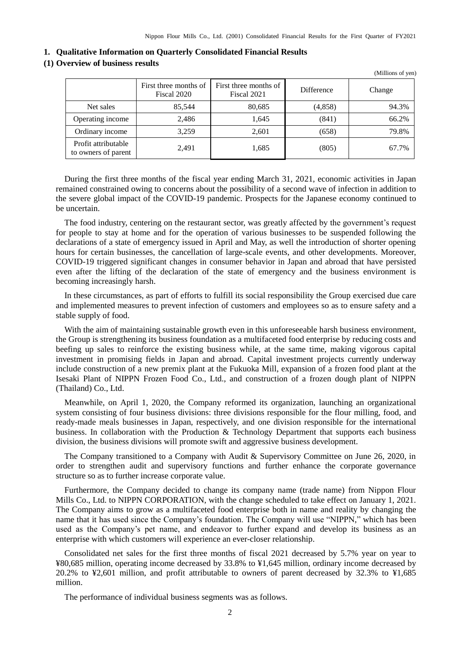(Millions of yen)

<span id="page-3-0"></span>

|  |  | 1. Qualitative Information on Quarterly Consolidated Financial Results |  |  |  |  |  |
|--|--|------------------------------------------------------------------------|--|--|--|--|--|
|--|--|------------------------------------------------------------------------|--|--|--|--|--|

### <span id="page-3-1"></span>**(1) Overview of business results**

|                                            | First three months of<br>Fiscal 2020 | First three months of<br>Fiscal 2021 | Difference | Change |
|--------------------------------------------|--------------------------------------|--------------------------------------|------------|--------|
| Net sales                                  | 85,544                               | 80,685                               | (4, 858)   | 94.3%  |
| Operating income                           | 2,486                                | 1,645                                | (841)      | 66.2%  |
| Ordinary income                            | 3,259                                | 2,601                                | (658)      | 79.8%  |
| Profit attributable<br>to owners of parent | 2,491                                | 1,685                                | (805)      | 67.7%  |

During the first three months of the fiscal year ending March 31, 2021, economic activities in Japan remained constrained owing to concerns about the possibility of a second wave of infection in addition to the severe global impact of the COVID-19 pandemic. Prospects for the Japanese economy continued to be uncertain.

The food industry, centering on the restaurant sector, was greatly affected by the government's request for people to stay at home and for the operation of various businesses to be suspended following the declarations of a state of emergency issued in April and May, as well the introduction of shorter opening hours for certain businesses, the cancellation of large-scale events, and other developments. Moreover, COVID-19 triggered significant changes in consumer behavior in Japan and abroad that have persisted even after the lifting of the declaration of the state of emergency and the business environment is becoming increasingly harsh.

In these circumstances, as part of efforts to fulfill its social responsibility the Group exercised due care and implemented measures to prevent infection of customers and employees so as to ensure safety and a stable supply of food.

With the aim of maintaining sustainable growth even in this unforeseeable harsh business environment, the Group is strengthening its business foundation as a multifaceted food enterprise by reducing costs and beefing up sales to reinforce the existing business while, at the same time, making vigorous capital investment in promising fields in Japan and abroad. Capital investment projects currently underway include construction of a new premix plant at the Fukuoka Mill, expansion of a frozen food plant at the Isesaki Plant of NIPPN Frozen Food Co., Ltd., and construction of a frozen dough plant of NIPPN (Thailand) Co., Ltd.

Meanwhile, on April 1, 2020, the Company reformed its organization, launching an organizational system consisting of four business divisions: three divisions responsible for the flour milling, food, and ready-made meals businesses in Japan, respectively, and one division responsible for the international business. In collaboration with the Production & Technology Department that supports each business division, the business divisions will promote swift and aggressive business development.

The Company transitioned to a Company with Audit & Supervisory Committee on June 26, 2020, in order to strengthen audit and supervisory functions and further enhance the corporate governance structure so as to further increase corporate value.

Furthermore, the Company decided to change its company name (trade name) from Nippon Flour Mills Co., Ltd. to NIPPN CORPORATION, with the change scheduled to take effect on January 1, 2021. The Company aims to grow as a multifaceted food enterprise both in name and reality by changing the name that it has used since the Company's foundation. The Company will use "NIPPN," which has been used as the Company's pet name, and endeavor to further expand and develop its business as an enterprise with which customers will experience an ever-closer relationship.

Consolidated net sales for the first three months of fiscal 2021 decreased by 5.7% year on year to ¥80,685 million, operating income decreased by 33.8% to ¥1,645 million, ordinary income decreased by 20.2% to ¥2,601 million, and profit attributable to owners of parent decreased by 32.3% to ¥1,685 million.

The performance of individual business segments was as follows.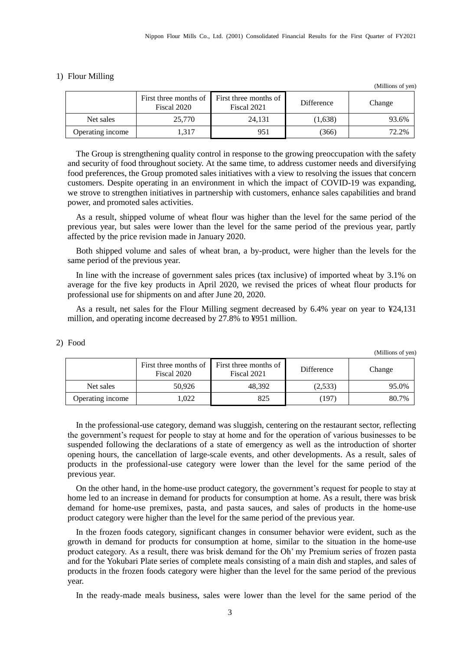(Millions of yen)

(Millions of yen)

#### 1) Flour Milling

|                  |             |                                                            |            | (      |
|------------------|-------------|------------------------------------------------------------|------------|--------|
|                  | Fiscal 2020 | First three months of First three months of<br>Fiscal 2021 | Difference | Change |
| Net sales        | 25,770      | 24.131                                                     | (1,638)    | 93.6%  |
| Operating income | 1.317       | 951                                                        | 366)       | 72.2%  |

The Group is strengthening quality control in response to the growing preoccupation with the safety and security of food throughout society. At the same time, to address customer needs and diversifying food preferences, the Group promoted sales initiatives with a view to resolving the issues that concern customers. Despite operating in an environment in which the impact of COVID-19 was expanding, we strove to strengthen initiatives in partnership with customers, enhance sales capabilities and brand power, and promoted sales activities.

As a result, shipped volume of wheat flour was higher than the level for the same period of the previous year, but sales were lower than the level for the same period of the previous year, partly affected by the price revision made in January 2020.

Both shipped volume and sales of wheat bran, a by-product, were higher than the levels for the same period of the previous year.

In line with the increase of government sales prices (tax inclusive) of imported wheat by 3.1% on average for the five key products in April 2020, we revised the prices of wheat flour products for professional use for shipments on and after June 20, 2020.

As a result, net sales for the Flour Milling segment decreased by 6.4% year on year to ¥24,131 million, and operating income decreased by 27.8% to ¥951 million.

|                  |                                      |                                      |                   | ,------ <i>----</i> --- - - , ---, |
|------------------|--------------------------------------|--------------------------------------|-------------------|------------------------------------|
|                  | First three months of<br>Fiscal 2020 | First three months of<br>Fiscal 2021 | <b>Difference</b> | Change                             |
| Net sales        | 50.926                               | 48.392                               | (2,533)           | 95.0%                              |
| Operating income | .022                                 | 825                                  | (197)             | 80.7%                              |

2) Food

In the professional-use category, demand was sluggish, centering on the restaurant sector, reflecting the government's request for people to stay at home and for the operation of various businesses to be suspended following the declarations of a state of emergency as well as the introduction of shorter opening hours, the cancellation of large-scale events, and other developments. As a result, sales of products in the professional-use category were lower than the level for the same period of the previous year.

On the other hand, in the home-use product category, the government's request for people to stay at home led to an increase in demand for products for consumption at home. As a result, there was brisk demand for home-use premixes, pasta, and pasta sauces, and sales of products in the home-use product category were higher than the level for the same period of the previous year.

In the frozen foods category, significant changes in consumer behavior were evident, such as the growth in demand for products for consumption at home, similar to the situation in the home-use product category. As a result, there was brisk demand for the Oh' my Premium series of frozen pasta and for the Yokubari Plate series of complete meals consisting of a main dish and staples, and sales of products in the frozen foods category were higher than the level for the same period of the previous year.

In the ready-made meals business, sales were lower than the level for the same period of the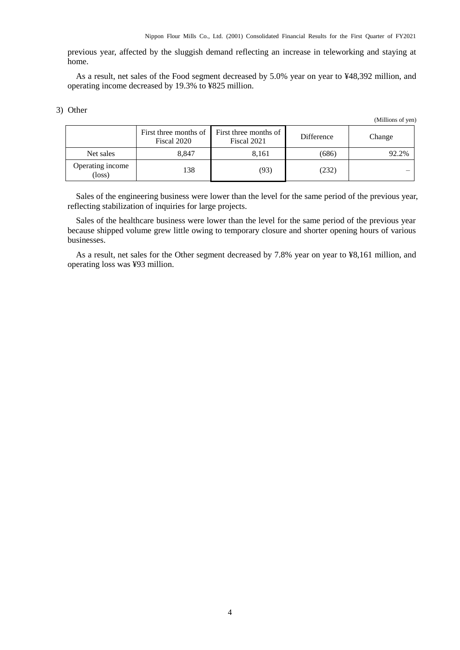previous year, affected by the sluggish demand reflecting an increase in teleworking and staying at home.

As a result, net sales of the Food segment decreased by 5.0% year on year to ¥48,392 million, and operating income decreased by 19.3% to ¥825 million.

### 3) Other

(Millions of yen)

|                                     | Fiscal 2020 | First three months of First three months of<br>Fiscal 2021 | Difference | Change |
|-------------------------------------|-------------|------------------------------------------------------------|------------|--------|
| Net sales                           | 8.847       | 8,161                                                      | (686)      | 92.2%  |
| Operating income<br>$(\text{loss})$ | 138         | (93)                                                       | (232)      |        |

Sales of the engineering business were lower than the level for the same period of the previous year, reflecting stabilization of inquiries for large projects.

Sales of the healthcare business were lower than the level for the same period of the previous year because shipped volume grew little owing to temporary closure and shorter opening hours of various businesses.

As a result, net sales for the Other segment decreased by 7.8% year on year to ¥8,161 million, and operating loss was ¥93 million.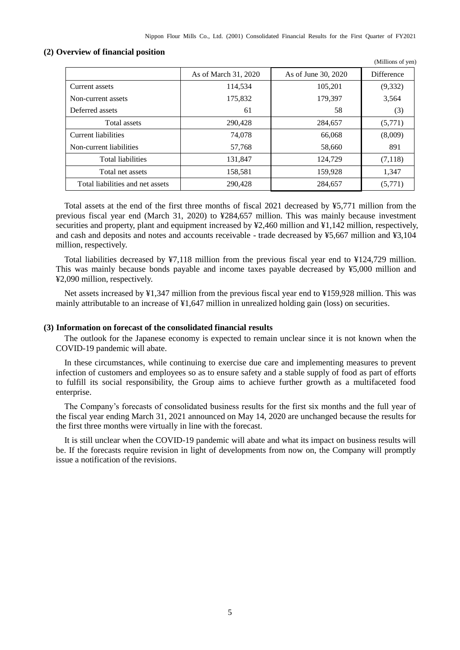|                                  |                      |                     | (Millions of yen) |
|----------------------------------|----------------------|---------------------|-------------------|
|                                  | As of March 31, 2020 | As of June 30, 2020 | <b>Difference</b> |
| Current assets                   | 114,534              | 105,201             | (9, 332)          |
| Non-current assets               | 175,832              | 179,397             | 3,564             |
| Deferred assets                  | 61                   | 58                  | (3)               |
| <b>Total assets</b>              | 290,428              | 284,657             | (5,771)           |
| Current liabilities              | 74,078               | 66,068              | (8,009)           |
| Non-current liabilities          | 57,768               | 58,660              | 891               |
| <b>Total liabilities</b>         | 131,847              | 124,729             | (7,118)           |
| Total net assets                 | 158,581              | 159,928             | 1,347             |
| Total liabilities and net assets | 290,428              | 284,657             | (5,771)           |

#### <span id="page-6-0"></span>**(2) Overview of financial position**

Total assets at the end of the first three months of fiscal 2021 decreased by ¥5,771 million from the previous fiscal year end (March 31, 2020) to ¥284,657 million. This was mainly because investment securities and property, plant and equipment increased by ¥2,460 million and ¥1,142 million, respectively, and cash and deposits and notes and accounts receivable - trade decreased by ¥5,667 million and ¥3,104 million, respectively.

Total liabilities decreased by ¥7,118 million from the previous fiscal year end to ¥124,729 million. This was mainly because bonds payable and income taxes payable decreased by ¥5,000 million and ¥2,090 million, respectively.

Net assets increased by ¥1,347 million from the previous fiscal year end to ¥159,928 million. This was mainly attributable to an increase of ¥1,647 million in unrealized holding gain (loss) on securities.

### <span id="page-6-1"></span>**(3) Information on forecast of the consolidated financial results**

The outlook for the Japanese economy is expected to remain unclear since it is not known when the COVID-19 pandemic will abate.

In these circumstances, while continuing to exercise due care and implementing measures to prevent infection of customers and employees so as to ensure safety and a stable supply of food as part of efforts to fulfill its social responsibility, the Group aims to achieve further growth as a multifaceted food enterprise.

The Company's forecasts of consolidated business results for the first six months and the full year of the fiscal year ending March 31, 2021 announced on May 14, 2020 are unchanged because the results for the first three months were virtually in line with the forecast.

It is still unclear when the COVID-19 pandemic will abate and what its impact on business results will be. If the forecasts require revision in light of developments from now on, the Company will promptly issue a notification of the revisions.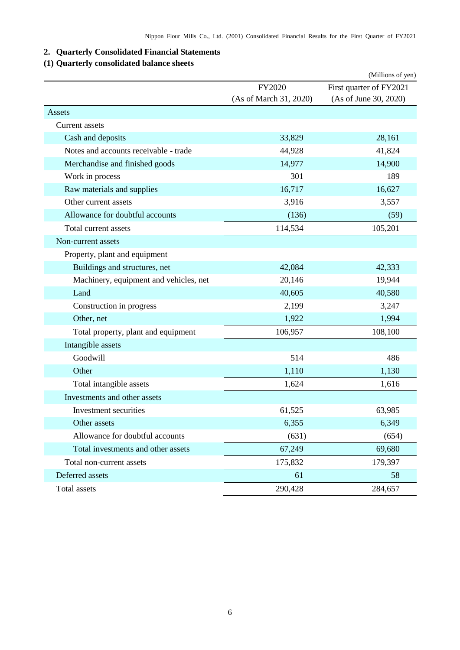# <span id="page-7-0"></span>**2. Quarterly Consolidated Financial Statements**

# <span id="page-7-1"></span>**(1) Quarterly consolidated balance sheets**

|                                        |                        | (Millions of yen)       |
|----------------------------------------|------------------------|-------------------------|
|                                        | FY2020                 | First quarter of FY2021 |
|                                        | (As of March 31, 2020) | (As of June 30, 2020)   |
| Assets                                 |                        |                         |
| Current assets                         |                        |                         |
| Cash and deposits                      | 33,829                 | 28,161                  |
| Notes and accounts receivable - trade  | 44,928                 | 41,824                  |
| Merchandise and finished goods         | 14,977                 | 14,900                  |
| Work in process                        | 301                    | 189                     |
| Raw materials and supplies             | 16,717                 | 16,627                  |
| Other current assets                   | 3,916                  | 3,557                   |
| Allowance for doubtful accounts        | (136)                  | (59)                    |
| Total current assets                   | 114,534                | 105,201                 |
| Non-current assets                     |                        |                         |
| Property, plant and equipment          |                        |                         |
| Buildings and structures, net          | 42,084                 | 42,333                  |
| Machinery, equipment and vehicles, net | 20,146                 | 19,944                  |
| Land                                   | 40,605                 | 40,580                  |
| Construction in progress               | 2,199                  | 3,247                   |
| Other, net                             | 1,922                  | 1,994                   |
| Total property, plant and equipment    | 106,957                | 108,100                 |
| Intangible assets                      |                        |                         |
| Goodwill                               | 514                    | 486                     |
| Other                                  | 1,110                  | 1,130                   |
| Total intangible assets                | 1,624                  | 1,616                   |
| Investments and other assets           |                        |                         |
| Investment securities                  | 61,525                 | 63,985                  |
| Other assets                           | 6,355                  | 6,349                   |
| Allowance for doubtful accounts        | (631)                  | (654)                   |
| Total investments and other assets     | 67,249                 | 69,680                  |
| Total non-current assets               | 175,832                | 179,397                 |
| Deferred assets                        | 61                     | 58                      |
| Total assets                           | 290,428                | 284,657                 |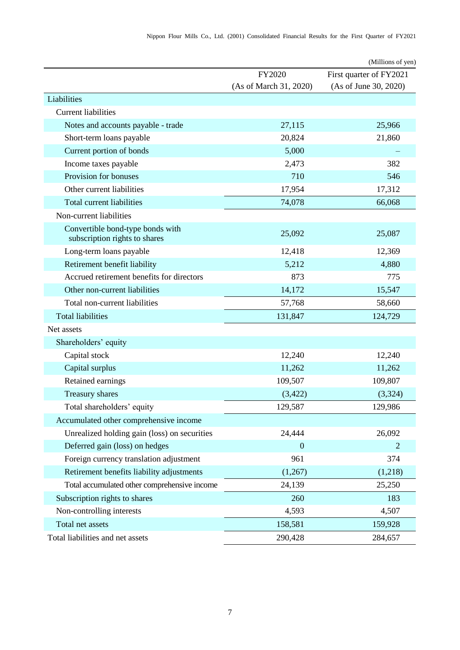|                                                                   |                        | (Millions of yen)       |
|-------------------------------------------------------------------|------------------------|-------------------------|
|                                                                   | FY2020                 | First quarter of FY2021 |
|                                                                   | (As of March 31, 2020) | (As of June 30, 2020)   |
| Liabilities                                                       |                        |                         |
| <b>Current liabilities</b>                                        |                        |                         |
| Notes and accounts payable - trade                                | 27,115                 | 25,966                  |
| Short-term loans payable                                          | 20,824                 | 21,860                  |
| Current portion of bonds                                          | 5,000                  |                         |
| Income taxes payable                                              | 2,473                  | 382                     |
| Provision for bonuses                                             | 710                    | 546                     |
| Other current liabilities                                         | 17,954                 | 17,312                  |
| Total current liabilities                                         | 74,078                 | 66,068                  |
| Non-current liabilities                                           |                        |                         |
| Convertible bond-type bonds with<br>subscription rights to shares | 25,092                 | 25,087                  |
| Long-term loans payable                                           | 12,418                 | 12,369                  |
| Retirement benefit liability                                      | 5,212                  | 4,880                   |
| Accrued retirement benefits for directors                         | 873                    | 775                     |
| Other non-current liabilities                                     | 14,172                 | 15,547                  |
| Total non-current liabilities                                     | 57,768                 | 58,660                  |
| <b>Total liabilities</b>                                          | 131,847                | 124,729                 |
| Net assets                                                        |                        |                         |
| Shareholders' equity                                              |                        |                         |
| Capital stock                                                     | 12,240                 | 12,240                  |
| Capital surplus                                                   | 11,262                 | 11,262                  |
| Retained earnings                                                 | 109,507                | 109,807                 |
| Treasury shares                                                   | (3, 422)               | (3,324)                 |
| Total shareholders' equity                                        | 129,587                | 129,986                 |
| Accumulated other comprehensive income                            |                        |                         |
| Unrealized holding gain (loss) on securities                      | 24,444                 | 26,092                  |
| Deferred gain (loss) on hedges                                    | $\boldsymbol{0}$       | $\overline{2}$          |
| Foreign currency translation adjustment                           | 961                    | 374                     |
| Retirement benefits liability adjustments                         | (1,267)                | (1,218)                 |
| Total accumulated other comprehensive income                      | 24,139                 | 25,250                  |
| Subscription rights to shares                                     | 260                    | 183                     |
| Non-controlling interests                                         | 4,593                  | 4,507                   |
| Total net assets                                                  | 158,581                | 159,928                 |
| Total liabilities and net assets                                  | 290,428                | 284,657                 |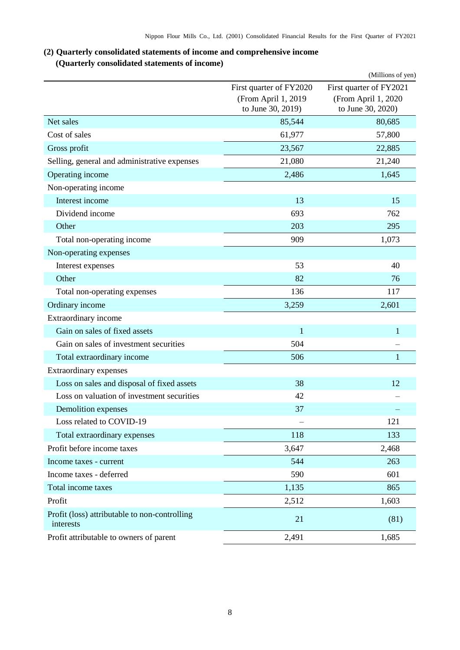## <span id="page-9-0"></span>**(2) Quarterly consolidated statements of income and comprehensive income (Quarterly consolidated statements of income)**

<span id="page-9-1"></span>

|                                                            |                                          | (Millions of yen)                        |
|------------------------------------------------------------|------------------------------------------|------------------------------------------|
|                                                            | First quarter of FY2020                  | First quarter of FY2021                  |
|                                                            | (From April 1, 2019<br>to June 30, 2019) | (From April 1, 2020<br>to June 30, 2020) |
| Net sales                                                  | 85,544                                   | 80,685                                   |
| Cost of sales                                              | 61,977                                   | 57,800                                   |
| Gross profit                                               | 23,567                                   | 22,885                                   |
| Selling, general and administrative expenses               | 21,080                                   | 21,240                                   |
| Operating income                                           | 2,486                                    | 1,645                                    |
| Non-operating income                                       |                                          |                                          |
| Interest income                                            | 13                                       | 15                                       |
| Dividend income                                            | 693                                      | 762                                      |
| Other                                                      | 203                                      | 295                                      |
| Total non-operating income                                 | 909                                      | 1,073                                    |
| Non-operating expenses                                     |                                          |                                          |
| Interest expenses                                          | 53                                       | 40                                       |
| Other                                                      | 82                                       | 76                                       |
| Total non-operating expenses                               | 136                                      | 117                                      |
| Ordinary income                                            | 3,259                                    | 2,601                                    |
| Extraordinary income                                       |                                          |                                          |
| Gain on sales of fixed assets                              | 1                                        | 1                                        |
| Gain on sales of investment securities                     | 504                                      |                                          |
| Total extraordinary income                                 | 506                                      | $\mathbf{1}$                             |
| Extraordinary expenses                                     |                                          |                                          |
| Loss on sales and disposal of fixed assets                 | 38                                       | 12                                       |
| Loss on valuation of investment securities                 | 42                                       |                                          |
| Demolition expenses                                        | 37                                       |                                          |
| Loss related to COVID-19                                   |                                          | 121                                      |
| Total extraordinary expenses                               | 118                                      | 133                                      |
| Profit before income taxes                                 | 3,647                                    | 2,468                                    |
| Income taxes - current                                     | 544                                      | 263                                      |
| Income taxes - deferred                                    | 590                                      | 601                                      |
| Total income taxes                                         | 1,135                                    | 865                                      |
| Profit                                                     | 2,512                                    | 1,603                                    |
| Profit (loss) attributable to non-controlling<br>interests | 21                                       | (81)                                     |
| Profit attributable to owners of parent                    | 2,491                                    | 1,685                                    |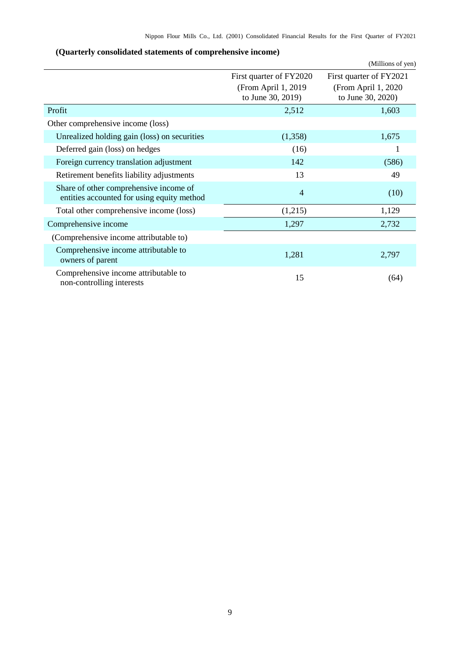# **(Quarterly consolidated statements of comprehensive income)**

<span id="page-10-0"></span>

|                                                                                      |                         | (Millions of yen)       |
|--------------------------------------------------------------------------------------|-------------------------|-------------------------|
|                                                                                      | First quarter of FY2020 | First quarter of FY2021 |
|                                                                                      | (From April 1, 2019)    | (From April 1, 2020     |
|                                                                                      | to June 30, 2019)       | to June 30, 2020)       |
| Profit                                                                               | 2,512                   | 1,603                   |
| Other comprehensive income (loss)                                                    |                         |                         |
| Unrealized holding gain (loss) on securities                                         | (1,358)                 | 1,675                   |
| Deferred gain (loss) on hedges                                                       | (16)                    | 1                       |
| Foreign currency translation adjustment                                              | 142                     | (586)                   |
| Retirement benefits liability adjustments                                            | 13                      | 49                      |
| Share of other comprehensive income of<br>entities accounted for using equity method | $\overline{4}$          | (10)                    |
| Total other comprehensive income (loss)                                              | (1,215)                 | 1,129                   |
| Comprehensive income                                                                 | 1,297                   | 2,732                   |
| (Comprehensive income attributable to)                                               |                         |                         |
| Comprehensive income attributable to<br>owners of parent                             | 1,281                   | 2,797                   |
| Comprehensive income attributable to<br>non-controlling interests                    | 15                      | (64)                    |